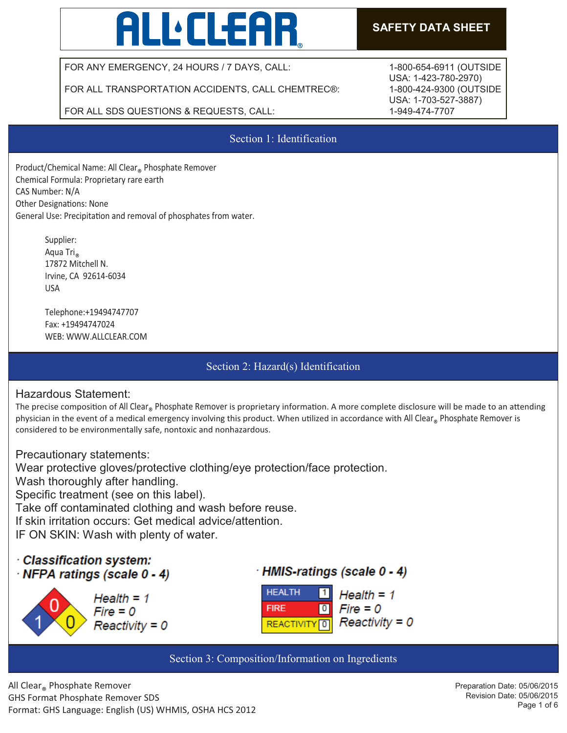# **ALL:CLEAR**

# **SAFETY DATA SHEET**

FOR ANY EMERGENCY, 24 HOURS / 7 DAYS, CALL:

FOR ALL TRANSPORTATION ACCIDENTS, CALL CHEMTREC®:

FOR ALL SDS QUESTIONS & REQUESTS, CALL:

Section 1: Identification

Product/Chemical Name: All Clear® Phosphate Remover Chemical Formula: Proprietary rare earth CAS Number: N/A Other Designations: None General Use: Precipitation and removal of phosphates from water.

> Supplier: Aqua Tri<sub>®</sub><br>17872 Mitchell N. Irvine, CA 92614-6034 USA

 Telephone:+19494747707 Fax: +19494747024 WEB: WWW.ALLCLEAR.COM

# Section 2: Hazard(s) Identification

## Hazardous Statement:

The precise composition of All Clear<sub>®</sub> Phosphate Remover is proprietary information. A more complete disclosure will be made to an attending<br>
and the state of the state of the state of the state of the state of the state physician in the event of a medical emergency involving this product. When utilized in accordance with All Clear® Phosphate Remover is<br>considered to be emissence with sector masteria and a subsecutors considered to be environmentally safe, nontoxic and nonhazardous.

Precautionary statements: Wear protective gloves/protective clothing/eye protection/face protection. Wash thoroughly after handling. Specific treatment (see on this label). Take off contaminated clothing and wash before reuse. If skin irritation occurs: Get medical advice/attention. IF ON SKIN: Wash with plenty of water.

# · Classification system: NFPA ratings (scale 0 - 4)







Section 3: Composition/Information on Ingredients

1-800-654-6911 (OUTSIDE USA: 1-423-780-2970) 1-800-424-9300 (OUTSIDE USA: 1-703-527-3887) 1-949-474-7707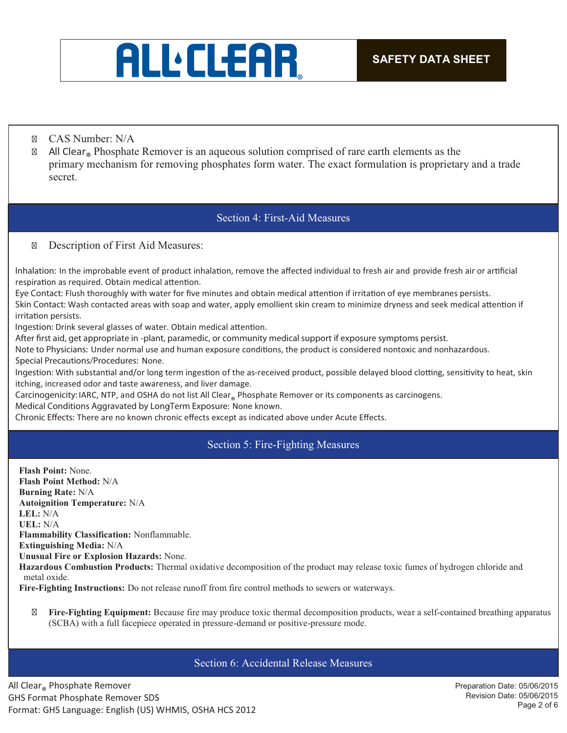

- CAS Number: N/A
- $\boxtimes$  All Clear<sub>®</sub> Phosphate Remover is an aqueous solution comprised of rare earth elements as the primary mechanism for removing phosphates form water. The exact formulation is proprietary and a trade secret.

## Section 4: First-Aid Measures

#### Description of First Aid Measures:

Inhalation: In the improbable event of product inhalation, remove the affected individual to fresh air and provide fresh air or artificial respiration as required. Obtain medical attention.

Eye Contact: Flush thoroughly with water for five minutes and obtain medical attention if irritation of eye membranes persists. Skin Contact: Wash contacted areas with soap and water, apply emollient skin cream to minimize dryness and seek medical attention if irritation persists.

Ingestion: Drink several glasses of water. Obtain medical attention.

*After first aid, get appropriate in -plant, paramedic, or community medical support if exposure symptoms persist.* 

Note to Physicians: Under normal use and human exposure conditions, the product is considered nontoxic and nonhazardous. **Special Precautions/Procedures:** None.

Ingestion: With substantial and/or long term ingestion of the as-received product, possible delayed blood clotting, sensitivity to heat, skin itching, increased odor and taste awareness, and liver damage.

Carcinogenicity: IARC, NTP, and OSHA do not list All Clear® Phosphate Remover or its components as carcinogens.

**Medical Conditions Aggravated by Long-Term Exposure:** None known.

Chronic Effects: There are no known chronic effects except as indicated above under Acute Effects.

## Section 5: Fire-Fighting Measures

**Flash Point:** None. **Flash Point Method:** N/A **Burning Rate:** N/A **Autoignition Temperature:** N/A **LEL:** N/A **UEL:** N/A **Flammability Classification:** Nonflammable. **Extinguishing Media:** N/A **Unusual Fire or Explosion Hazards:** None. **Hazardous Combustion Products:** Thermal oxidative decomposition of the product may release toxic fumes of hydrogen chloride and metal oxide. **Fire-Fighting Instructions:** Do not release runoff from fire control methods to sewers or waterways.

 **Fire-Fighting Equipment:** Because fire may produce toxic thermal decomposition products, wear a self-contained breathing apparatus (SCBA) with a full facepiece operated in pressure-demand or positive-pressure mode.

#### Section 6: Accidental Release Measures

All Clear® Phosphate Remover GHS Format Phosphate Remover SDS Format: GHS Language: English (US) WHMIS, OSHA HCS 2012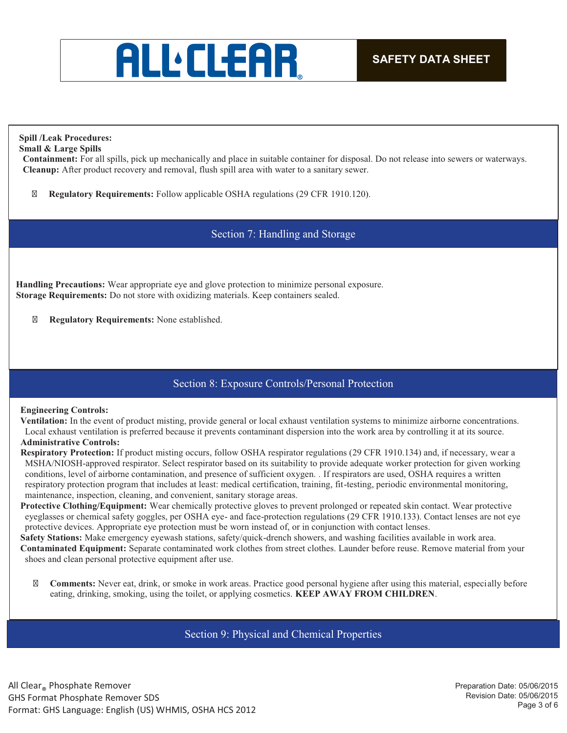

## **Spill /Leak Procedures:**

**Small & Large Spills** 

**Containment:** For all spills, pick up mechanically and place in suitable container for disposal. Do not release into sewers or waterways. **Cleanup:** After product recovery and removal, flush spill area with water to a sanitary sewer.

**Regulatory Requirements:** Follow applicable OSHA regulations (29 CFR 1910.120).

## Section 7: Handling and Storage

**Handling Precautions:** Wear appropriate eye and glove protection to minimize personal exposure. **Storage Requirements:** Do not store with oxidizing materials. Keep containers sealed.

**Regulatory Requirements:** None established.

## Section 8: Exposure Controls/Personal Protection

#### **Engineering Controls:**

**Ventilation:** In the event of product misting, provide general or local exhaust ventilation systems to minimize airborne concentrations. Local exhaust ventilation is preferred because it prevents contaminant dispersion into the work area by controlling it at its source.

#### **Administrative Controls:**

**Respiratory Protection:** If product misting occurs, follow OSHA respirator regulations (29 CFR 1910.134) and, if necessary, wear a MSHA/NIOSH-approved respirator. Select respirator based on its suitability to provide adequate worker protection for given working conditions, level of airborne contamination, and presence of sufficient oxygen. *.* If respirators are used, OSHA requires a written respiratory protection program that includes at least: medical certification, training, fit-testing, periodic environmental monitoring, maintenance, inspection, cleaning, and convenient, sanitary storage areas.

**Protective Clothing/Equipment:** Wear chemically protective gloves to prevent prolonged or repeated skin contact. Wear protective eyeglasses or chemical safety goggles, per OSHA eye- and face-protection regulations (29 CFR 1910.133). Contact lenses are not eye protective devices. Appropriate eye protection must be worn instead of, or in conjunction with contact lenses.

**Safety Stations:** Make emergency eyewash stations, safety/quick-drench showers, and washing facilities available in work area. **Contaminated Equipment:** Separate contaminated work clothes from street clothes. Launder before reuse. Remove material from your shoes and clean personal protective equipment after use.

 **Comments:** Never eat, drink, or smoke in work areas. Practice good personal hygiene after using this material, especially before eating, drinking, smoking, using the toilet, or applying cosmetics. **KEEP AWAY FROM CHILDREN**.

Section 9: Physical and Chemical Properties

All Clear® Phosphate Remover GHS Format Phosphate Remover SDS Format: GHS Language: English (US) WHMIS, OSHA HCS 2012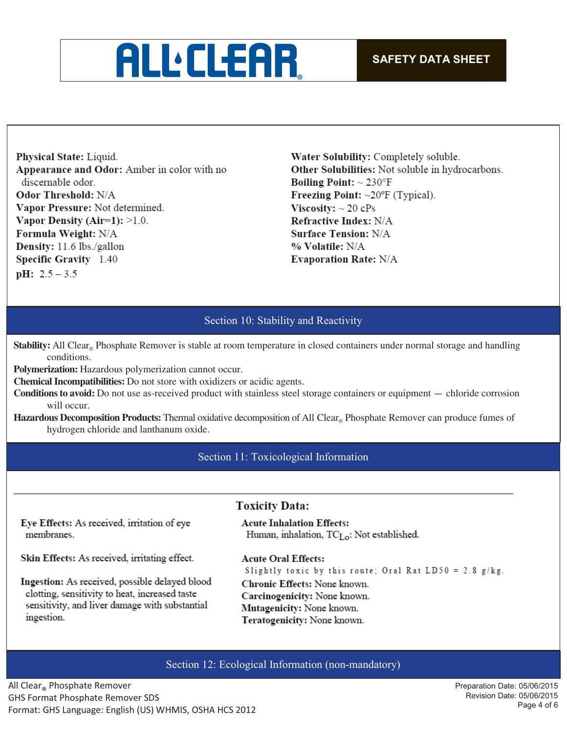

Physical State: Liquid. Appearance and Odor: Amber in color with no discernable odor. **Odor Threshold: N/A** Vapor Pressure: Not determined. Vapor Density (Air=1):  $>1.0$ . Formula Weight: N/A Density: 11.6 lbs./gallon **Specific Gravity** 1.40  $pH: 2.5 - 3.5$ 

Water Solubility: Completely soluble. Other Solubilities: Not soluble in hydrocarbons. **Boiling Point:**  $\sim 230^{\circ}$ F Freezing Point:  $\sim 20^{\circ}$ F (Typical). Viscosity:  $\sim$  20 cPs **Refractive Index: N/A Surface Tension: N/A** % Volatile: N/A **Evaporation Rate: N/A** 

## Section 10: Stability and Reactivity

**Stability:** All Clear<sub>®</sub> Phosphate Remover is stable at room temperature in closed containers under normal storage and handling conditions.

**Polymerization:** Hazardous polymerization cannot occur.

**Chemical Incompatibilities:** Do not store with oxidizers or acidic agents.

**Conditions to avoid:** Do not use as-received product with stainless steel storage containers or equipment — chloride corrosion will occur.

**Hazardous Decomposition Products:** Thermal oxidative decomposition of All Clear® Phosphate Remover can produce fumes of hydrogen chloride and lanthanum oxide.

Section 11: Toxicological Information

## **Toxicity Data:**

Eye Effects: As received, irritation of eye membranes.

**Acute Inhalation Effects:** Human, inhalation,  $TC_{Lo}$ : Not established.

Skin Effects: As received, irritating effect.

Ingestion: As received, possible delayed blood clotting, sensitivity to heat, increased taste sensitivity, and liver damage with substantial ingestion.

**Acute Oral Effects:** Slightly toxic by this route; Oral Rat LD50 = 2.8  $g/kg$ .

Chronic Effects: None known. Carcinogenicity: None known. Mutagenicity: None known. Teratogenicity: None known.

#### Section 12: Ecological Information (non-mandatory)

All Clear® Phosphate Remover GHS Format Phosphate Remover SDS Format: GHS Language: English (US) WHMIS, OSHA HCS 2012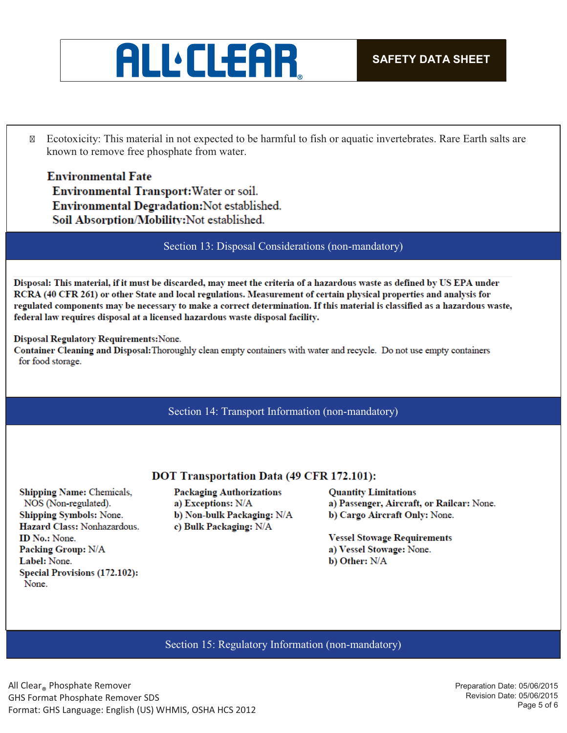

 Ecotoxicity: This material in not expected to be harmful to fish or aquatic invertebrates. Rare Earth salts are known to remove free phosphate from water.

**Environmental Fate** Environmental Transport: Water or soil. Environmental Degradation: Not established. Soil Absorption/Mobility:Not established.

Section 13: Disposal Considerations (non-mandatory)

Disposal: This material, if it must be discarded, may meet the criteria of a hazardous waste as defined by US EPA under RCRA (40 CFR 261) or other State and local regulations. Measurement of certain physical properties and analysis for regulated components may be necessary to make a correct determination. If this material is classified as a hazardous waste, federal law requires disposal at a licensed hazardous waste disposal facility.

#### Disposal Regulatory Requirements: None.

Container Cleaning and Disposal: Thoroughly clean empty containers with water and recycle. Do not use empty containers for food storage.

#### Section 14: Transport Information (non-mandatory)

#### **DOT Transportation Data (49 CFR 172.101):**

Shipping Name: Chemicals, NOS (Non-regulated). Shipping Symbols: None. Hazard Class: Nonhazardous. ID No.: None. **Packing Group: N/A** Label: None. Special Provisions (172.102): None.

**Packaging Authorizations** a) Exceptions: N/A b) Non-bulk Packaging: N/A c) Bulk Packaging: N/A

**Quantity Limitations** a) Passenger, Aircraft, or Railcar: None. b) Cargo Aircraft Only: None.

**Vessel Stowage Requirements** a) Vessel Stowage: None. b) Other: N/A

Section 15: Regulatory Information (non-mandatory)